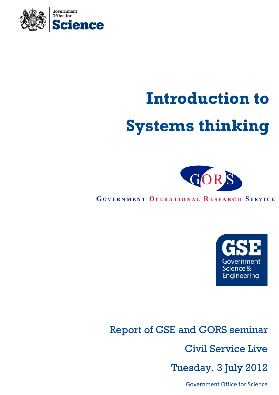

# **Introduction to Systems thinking**



**GOVERNMENT OPERATIONAL RESEARCH SERVICE** 



Report of GSE and GORS seminar Civil Service Live Tuesday, 3 July 2012

Government Office for Science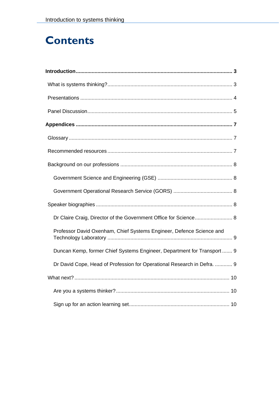# **Contents**

| Dr Claire Craig, Director of the Government Office for Science 8        |
|-------------------------------------------------------------------------|
| Professor David Oxenham, Chief Systems Engineer, Defence Science and    |
| Duncan Kemp, former Chief Systems Engineer, Department for Transport 9  |
| Dr David Cope, Head of Profession for Operational Research in Defra.  9 |
|                                                                         |
|                                                                         |
|                                                                         |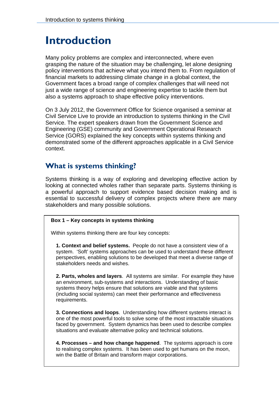# <span id="page-2-0"></span>**Introduction**

Many policy problems are complex and interconnected, where even grasping the nature of the situation may be challenging, let alone designing policy interventions that achieve what you intend them to. From regulation of financial markets to addressing climate change in a global context, the Government faces a broad range of complex challenges that will need not just a wide range of science and engineering expertise to tackle them but also a systems approach to shape effective policy interventions.

On 3 July 2012, the Government Office for Science organised a seminar at Civil Service Live to provide an introduction to systems thinking in the Civil Service. The expert speakers drawn from the Government Science and Engineering (GSE) community and Government Operational Research Service (GORS) explained the key concepts within systems thinking and demonstrated some of the different approaches applicable in a Civil Service context.

## **What is systems thinking?**

Systems thinking is a way of exploring and developing effective action by looking at connected wholes rather than separate parts. Systems thinking is a powerful approach to support evidence based decision making and is essential to successful delivery of complex projects where there are many stakeholders and many possible solutions.

#### **Box 1 – Key concepts in systems thinking**

Within systems thinking there are four key concepts:

**1. Context and belief systems.** People do not have a consistent view of a system. 'Soft' systems approaches can be used to understand these different perspectives, enabling solutions to be developed that meet a diverse range of stakeholders needs and wishes.

**2. Parts, wholes and layers**. All systems are similar. For example they have an environment, sub-systems and interactions. Understanding of basic systems theory helps ensure that solutions are viable and that systems (including social systems) can meet their performance and effectiveness requirements.

**3. Connections and loops**. Understanding how different systems interact is one of the most powerful tools to solve some of the most intractable situations faced by government. System dynamics has been used to describe complex situations and evaluate alternative policy and technical solutions.

**4. Processes – and how change happened**. The systems approach is core to realising complex systems. It has been used to get humans on the moon, win the Battle of Britain and transform major corporations.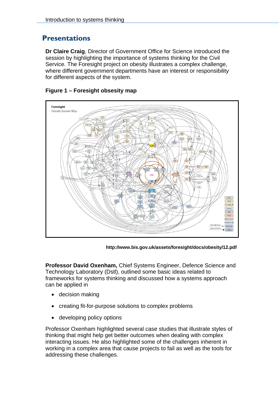## <span id="page-3-0"></span>**Presentations**

**Dr Claire Craig**, Director of Government Office for Science introduced the session by highlighting the importance of systems thinking for the Civil Service. The Foresight project on obesity illustrates a complex challenge, where different government departments have an interest or responsibility for different aspects of the system.



#### **Figure 1 – Foresight obsesity map**

**http://www.bis.gov.uk/assets/foresight/docs/obesity/12.pdf** 

**Professor David Oxenham,** Chief Systems Engineer, Defence Science and Technology Laboratory (Dstl), outlined some basic ideas related to frameworks for systems thinking and discussed how a systems approach can be applied in

- decision making
- creating fit-for-purpose solutions to complex problems
- developing policy options

Professor Oxenham highlighted several case studies that illustrate styles of thinking that might help get better outcomes when dealing with complex interacting issues. He also highlighted some of the challenges inherent in working in a complex area that cause projects to fail as well as the tools for addressing these challenges.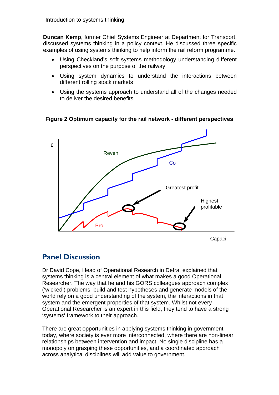<span id="page-4-0"></span>**Duncan Kemp**, former Chief Systems Engineer at Department for Transport, discussed systems thinking in a policy context. He discussed three specific examples of using systems thinking to help inform the rail reform programme.

- Using Checkland's soft systems methodology understanding different perspectives on the purpose of the railway
- Using system dynamics to understand the interactions between different rolling stock markets
- Using the systems approach to understand all of the changes needed to deliver the desired benefits

**Figure 2 Optimum capacity for the rail network - different perspectives** 



# **Panel Discussion**

Dr David Cope, Head of Operational Research in Defra, explained that systems thinking is a central element of what makes a good Operational Researcher. The way that he and his GORS colleagues approach complex ('wicked') problems, build and test hypotheses and generate models of the world rely on a good understanding of the system, the interactions in that system and the emergent properties of that system. Whilst not every Operational Researcher is an expert in this field, they tend to have a strong 'systems' framework to their approach.

There are great opportunities in applying systems thinking in government today, where society is ever more interconnected, where there are non-linear relationships between intervention and impact. No single discipline has a monopoly on grasping these opportunities, and a coordinated approach across analytical disciplines will add value to government.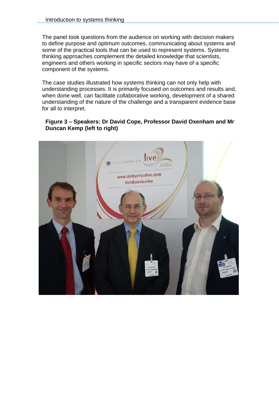The panel took questions from the audience on working with decision makers to define purpose and optimum outcomes, communicating about systems and some of the practical tools that can be used to represent systems. Systems thinking approaches complement the detailed knowledge that scientists, engineers and others working in specific sectors may have of a specific component of the systems.

The case studies illustrated how systems thinking can not only help with understanding processes. It is primarily focused on outcomes and results and, when done well, can facilitate collaborative working, development of a shared understanding of the nature of the challenge and a transparent evidence base for all to interpret.

#### **Figure 3 – Speakers: Dr David Cope, Professor David Oxenham and Mr Duncan Kemp (left to right)**

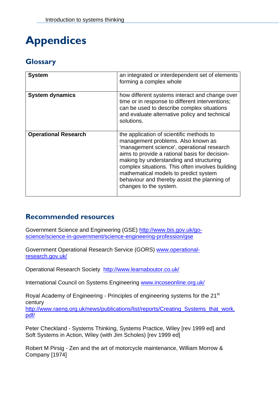# <span id="page-6-0"></span>**Appendices**

# **Glossary**

| <b>System</b>               | an integrated or interdependent set of elements<br>forming a complex whole                                                                                                                                                                                                                                                                                                                       |
|-----------------------------|--------------------------------------------------------------------------------------------------------------------------------------------------------------------------------------------------------------------------------------------------------------------------------------------------------------------------------------------------------------------------------------------------|
| <b>System dynamics</b>      | how different systems interact and change over<br>time or in response to different interventions;<br>can be used to describe complex situations<br>and evaluate alternative policy and technical<br>solutions.                                                                                                                                                                                   |
| <b>Operational Research</b> | the application of scientific methods to<br>management problems. Also known as<br>'management science', operational research<br>aims to provide a rational basis for decision-<br>making by understanding and structuring<br>complex situations. This often involves building<br>mathematical models to predict system<br>behaviour and thereby assist the planning of<br>changes to the system. |

# **Recommended resources**

Government Science and Engineering (GSE) [http://www.bis.gov.uk/go](http://www.bis.gov.uk/go-science/science-in-government/science-engineering-profession/gse)[science/science-in-government/science-engineering-profession/gse](http://www.bis.gov.uk/go-science/science-in-government/science-engineering-profession/gse)

Government Operational Research Service (GORS) [www.operational](http://www.operational-research.gov.uk/)[research.gov.uk/](http://www.operational-research.gov.uk/)

Operational Research Society <http://www.learnaboutor.co.uk/>

International Council on Systems Engineering [www.incoseonline.org.uk/](http://www.incoseonline.org.uk/)

Royal Academy of Engineering - Principles of engineering systems for the 21<sup>st</sup> century [http://www.raeng.org.uk/news/publications/list/reports/Creating\\_Systems\\_that\\_work.](http://www.raeng.org.uk/) [pdf/](http://www.raeng.org.uk/)

Peter Checkland - Systems Thinking, Systems Practice, Wiley [rev 1999 ed] and Soft Systems in Action, Wiley (with Jim Scholes) [rev 1999 ed]

Robert M Pirsig - Zen and the art of motorcycle maintenance, William Morrow & Company [1974]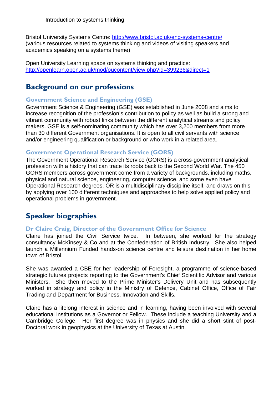<span id="page-7-0"></span>Bristol University Systems Centre:<http://www.bristol.ac.uk/eng-systems-centre/> (various resources related to systems thinking and videos of visiting speakers and academics speaking on a systems theme)

Open University Learning space on systems thinking and practice: <http://openlearn.open.ac.uk/mod/oucontent/view.php?id=399236&direct=1>

# **Background on our professions**

#### **Government Science and Engineering (GSE)**

Government Science & Engineering (GSE) was established in June 2008 and aims to increase recognition of the profession's contribution to policy as well as build a strong and vibrant community with robust links between the different analytical streams and policy makers. GSE is a self-nominating community which has over 3,200 members from more than 30 different Government organisations. It is open to all civil servants with science and/or engineering qualification or background or who work in a related area.

#### **Government Operational Research Service (GORS)**

The Government Operational Research Service (GORS) is a cross-government analytical profession with a history that can trace its roots back to the Second World War. The 450 GORS members across government come from a variety of backgrounds, including maths, physical and natural science, engineering, computer science, and some even have Operational Research degrees. OR is a multidisciplinary discipline itself, and draws on this by applying over 100 different techniques and approaches to help solve applied policy and operational problems in government.

# **Speaker biographies**

#### **Dr Claire Craig, Director of the Government Office for Science**

Claire has joined the Civil Service twice. In between, she worked for the strategy consultancy McKinsey & Co and at the Confederation of British Industry. She also helped launch a Millennium Funded hands-on science centre and leisure destination in her home town of Bristol.

She was awarded a CBE for her leadership of Foresight, a programme of science-based strategic futures projects reporting to the Government's Chief Scientific Advisor and various Ministers. She then moved to the Prime Minister's Delivery Unit and has subsequently worked in strategy and policy in the Ministry of Defence, Cabinet Office, Office of Fair Trading and Department for Business, Innovation and Skills.

Claire has a lifelong interest in science and in learning, having been involved with several educational institutions as a Governor or Fellow. These include a teaching University and a Cambridge College. Her first degree was in physics and she did a short stint of post-Doctoral work in geophysics at the University of Texas at Austin.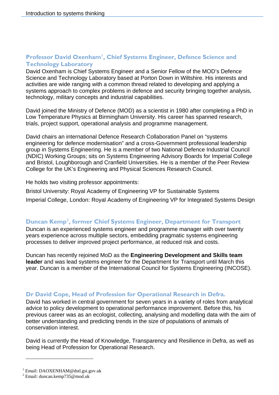#### <span id="page-8-0"></span>**Professor David Oxenham[1](#page-8-1) , Chief Systems Engineer, Defence Science and Technology Laboratory**

David Oxenham is Chief Systems Engineer and a Senior Fellow of the MOD's Defence Science and Technology Laboratory based at Porton Down in Wiltshire. His interests and activities are wide ranging with a common thread related to developing and applying a systems approach to complex problems in defence and security bringing together analysis, technology, military concepts and industrial capabilities.

David joined the Ministry of Defence (MOD) as a scientist in 1980 after completing a PhD in Low Temperature Physics at Birmingham University. His career has spanned research, trials, project support, operational analysis and programme management.

David chairs an international Defence Research Collaboration Panel on "systems engineering for defence modernisation" and a cross-Government professional leadership group in Systems Engineering. He is a member of two National Defence Industrial Council (NDIC) Working Groups; sits on Systems Engineering Advisory Boards for Imperial College and Bristol, Loughborough and Cranfield Universities. He is a member of the Peer Review College for the UK's Engineering and Physical Sciences Research Council.

He holds two visiting professor appointments:

Bristol University: Royal Academy of Engineering VP for Sustainable Systems

Imperial College, London: Royal Academy of Engineering VP for Integrated Systems Design

#### **Duncan Kemp<sup>[2](#page-8-2)</sup>, former Chief Systems Engineer, Department for Transport**

Duncan is an experienced systems engineer and programme manager with over twenty years experience across multiple sectors, embedding pragmatic systems engineering processes to deliver improved project performance, at reduced risk and costs.

Duncan has recently rejoined MoD as the **Engineering Development and Skills team leader** and was lead systems engineer for the Department for Transport until March this year. Duncan is a member of the International Council for Systems Engineering (INCOSE).

#### **Dr David Cope, Head of Profession for Operational Research in Defra.**

David has worked in central government for seven years in a variety of roles from analytical advice to policy development to operational performance improvement. Before this, his previous career was as an ecologist, collecting, analysing and modelling data with the aim of better understanding and predicting trends in the size of populations of animals of conservation interest.

David is currently the Head of Knowledge, Transparency and Resilience in Defra, as well as being Head of Profession for Operational Research.

l

<span id="page-8-2"></span><span id="page-8-1"></span><sup>1</sup> Email: DAOXENHAM@dstl.gsi.gov.uk

<sup>2</sup> Email: duncan.kemp735@mod.uk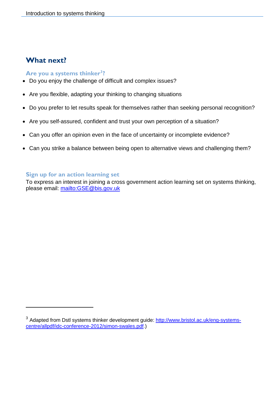# <span id="page-9-0"></span>**What next?**

l

#### Are you a systems thinker<sup>3</sup>?

- Do you enjoy the challenge of difficult and complex issues?
- Are you flexible, adapting your thinking to changing situations
- Do you prefer to let results speak for themselves rather than seeking personal recognition?
- Are you self-assured, confident and trust your own perception of a situation?
- Can you offer an opinion even in the face of uncertainty or incomplete evidence?
- Can you strike a balance between being open to alternative views and challenging them?

#### **Sign up for an action learning set**

To express an interest in joining a cross government action learning set on systems thinking, please email:<mailto:GSE@bis.gov.uk>

<span id="page-9-1"></span><sup>&</sup>lt;sup>3</sup> Adapted from Dstl systems thinker development guide: [http://www.bristol.ac.uk/eng-systems](http://www.bristol.ac.uk/eng-systems-centre/allpdf/idc-conference-2012/simon-swales.pdf)[centre/allpdf/idc-conference-2012/simon-swales.pdf.](http://www.bristol.ac.uk/eng-systems-centre/allpdf/idc-conference-2012/simon-swales.pdf))